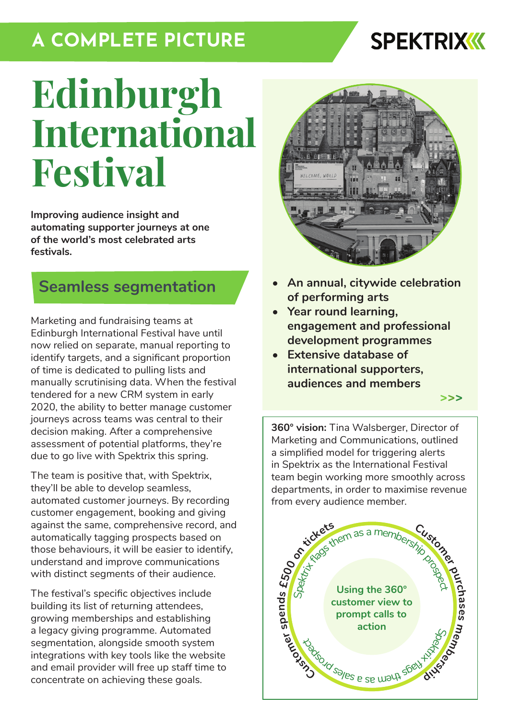## **A COMPLETE PICTURE**

## **SPEKTRIXKK**

# **Edinburgh International Festival**

**Improving audience insight and automating supporter journeys at one of the world's most celebrated arts festivals.**

### **Seamless segmentation**

Marketing and fundraising teams at Edinburgh International Festival have until now relied on separate, manual reporting to identify targets, and a significant proportion of time is dedicated to pulling lists and manually scrutinising data. When the festival tendered for a new CRM system in early 2020, the ability to better manage customer journeys across teams was central to their decision making. After a comprehensive assessment of potential platforms, they're due to go live with Spektrix this spring.

The team is positive that, with Spektrix, they'll be able to develop seamless, automated customer journeys. By recording customer engagement, booking and giving against the same, comprehensive record, and automatically tagging prospects based on those behaviours, it will be easier to identify, understand and improve communications with distinct segments of their audience.

The festival's specific objectives include building its list of returning attendees, growing memberships and establishing a legacy giving programme. Automated segmentation, alongside smooth system integrations with key tools like the website and email provider will free up staff time to concentrate on achieving these goals.



- **• An annual, citywide celebration of performing arts**
- **• Year round learning, engagement and professional development programmes**
- **• Extensive database of international supporters, audiences and members**

**[>>>](https://www.eif.co.uk/)**

**360° vision:** Tina Walsberger, Director of Marketing and Communications, outlined a simplified model for triggering alerts in Spektrix as the International Festival team begin working more smoothly across departments, in order to maximise revenue from every audience member.